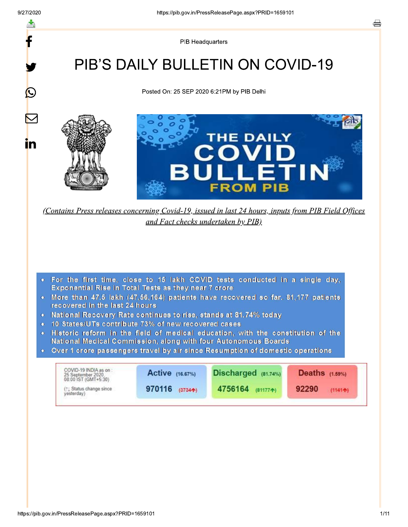$\mathbf{\Omega}$ 

<u>in</u>

PIB Headquarters

## **PIB'S DAILY BULLETIN ON COVID-19**

Posted On: 25 SEP 2020 6:21PM by PIB Delhi



(Contains Press releases concerning Covid-19, issued in last 24 hours, inputs from PIB Field Offices and Fact checks undertaken by PIB)

- . For the first time, close to 15 lakh COVID tests conducted in a single day, Exponential Rise in Total Tests as they near 7 crore
- More than 47.5 lakh (47.56.164) patients have recovered so far. 81.177 patients recovered in the last 24 hours
- National Recovery Rate continues to rise, stands at 81.74% today
- 10 States/UTs contribute 73% of new recovered cases
- . Historic reform in the field of medical education, with the constitution of the National Medical Commission, along with four Autonomous Boards
- Over 1 crore passengers travel by air since Resumption of domestic operations  $\bullet$

| COVID-19 INDIA as on:<br>25 September 2020.<br>08:00 IST (GMT+5:30) | Active (16.67%) | Discharged (81.74%) | Deaths $(1.59%)$ |  |
|---------------------------------------------------------------------|-----------------|---------------------|------------------|--|
| (1) Status change since                                             | 970116          | 4756164             | 92290            |  |
| vesterday)                                                          | (37344)         | (811774)            | (1141A)          |  |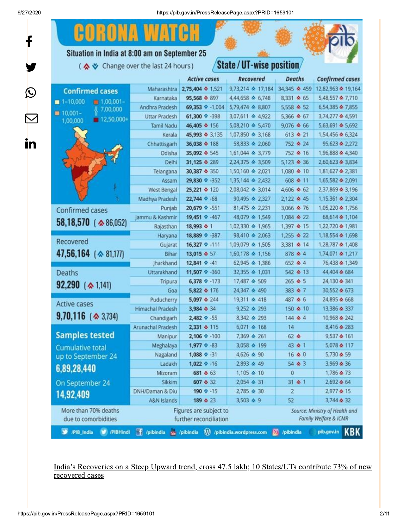f

A Q D

in

| <b>BORONA WATGH</b>                                                                                                 |                    |                                                  |                             |                         |                                                         |  |
|---------------------------------------------------------------------------------------------------------------------|--------------------|--------------------------------------------------|-----------------------------|-------------------------|---------------------------------------------------------|--|
| Situation in India at 8:00 am on September 25<br>State / UT-wise position/<br>( ☆ ※ Change over the last 24 hours ) |                    |                                                  |                             |                         |                                                         |  |
|                                                                                                                     |                    | <b>Active cases</b>                              | <b>Recovered</b>            | <b>Deaths</b>           | <b>Confirmed cases</b>                                  |  |
|                                                                                                                     | Maharashtra        | 2,75,404 & 1,521                                 | 9,73,214 & 17,184           | 34,345 & 459            | 12,82,963 & 19,164                                      |  |
| <b>Confirmed cases</b>                                                                                              | Karnataka          | 95,568 & 897                                     | 4,44,658 & 6,748            | 8,331 465               | 5,48,557 & 7,710                                        |  |
| $\blacksquare$ 1-10,000<br>$\blacksquare$ 1,00,001-<br>₹7,00,000<br>■ 10,001-<br>$12,50,000+$<br>1,00,000           | Andhra Pradesh     | 69,353 $% -1,004$                                | 5,79,474 & 8,807            | 5,558 $\spadesuit$ 52   | 6,54,385 & 7,855                                        |  |
|                                                                                                                     | Uttar Pradesh      | 61,300 ♦ 398                                     | 3,07,611 & 4,922            | 5,366 $\spadesuit$ 67   | 3,74,277 & 4,591                                        |  |
|                                                                                                                     | Tamil Nadu         | 46,405 & 156                                     | 5,08,210 & 5,470            | 9,076 & 66              | 5,63,691 & 5,692                                        |  |
|                                                                                                                     | Kerala             | 45,993 & 3,135                                   | 1,07,850 $\triangle$ 3,168  | $613$ $\spadesuit$ 21   | 1,54,456 & 6,324                                        |  |
|                                                                                                                     | Chhattisgarh       | 36,038 & 188                                     | 58,833 & 2,060              | 752 & 24                | 95,623 & 2,272                                          |  |
|                                                                                                                     | Odisha             | 35,092 & 545                                     | 1,61,044 & 3,779            | 752 $\&$ 16             | 1,96,888 & 4,340                                        |  |
|                                                                                                                     | Delhi              | 31,125 & 289                                     | 2,24,375 & 3,509            | $5,123$ $\spadesuit$ 36 | 2,60,623 & 3,834                                        |  |
|                                                                                                                     | Telangana          | 30,387 & 350                                     | 1,50,160 & 2,021            | 1,080 $\spadesuit$ 10   | 1,81,627 & 2,381                                        |  |
|                                                                                                                     | Assam              | 29,830 $% -352$                                  | 1,35,144 & 2,432            | 608 $\spadesuit$ 11     | 1,65,582 & 2,091                                        |  |
|                                                                                                                     | <b>West Bengal</b> | 25,221 $\&$ 120                                  | 2,08,042 & 3,014            | 4,606 & 62              | 2,37,869 & 3,196                                        |  |
|                                                                                                                     | Madhya Pradesh     | 22,744 $\check{v}$ -68                           | 90,495 & 2,327              | 2,122 $\spadesuit$ 45   | 1,15,361 & 2,304                                        |  |
| Confirmed cases<br>58,18,570 ( $\&86,052$ )                                                                         | Punjab             | 20,679 $\textdegree$ -551                        | 81,475 & 2,231              | 3,066 & 76              | 1,05,220 $\spadesuit$ 1,756                             |  |
|                                                                                                                     | Jammu & Kashmir    | 19,451 $\%$ -467                                 | 48,079 & 1,549              | 1,084 & 22              | 68,614 $\spadesuit$ 1,104                               |  |
|                                                                                                                     | Rajasthan          | 18,993 $\&$ 1                                    | 1,02,330 & 1,965            | 1,397 & 15              | 1,22,720 $\spadesuit$ 1,981                             |  |
| Recovered<br>47,56,164 ( $\&$ 81,177)                                                                               | Haryana            | 18,889 $\vee$ -387                               | 98,410 & 2,063              | 1,255 & 22              | 1,18,554 & 1,698                                        |  |
|                                                                                                                     | Gujarat            | 16,327 $% -111$                                  | 1,09,079 & 1,505            | 3,381 & 14              | 1,28,787 & 1,408                                        |  |
|                                                                                                                     | Bihar              | 13,015 $\&$ 57                                   | 1,60,178 $\spadesuit$ 1,156 | 878 $\spadesuit$ 4      | 1,74,071 & 1,217                                        |  |
|                                                                                                                     | Jharkhand          | 12,841 $\mathbf{\check{v}}$ -41                  | 62,945 & 1,386              | $652$ $4$               | 76,438 & 1,349                                          |  |
| <b>Deaths</b>                                                                                                       | Uttarakhand        | 11,507 $\check{\mathbf{v}}$ -360                 | 32,355 & 1,031              | 542 $\spadesuit$ 13     | 44,404 & 684                                            |  |
|                                                                                                                     | Tripura            | 6,378 $\vee$ -173                                | 17,487 & 509                | $265 \, \triangle 5$    | 24,130 & 341                                            |  |
| $92,290$ ( $\& 1,141$ )                                                                                             | Goa                | 5,822 & 176                                      | 24,347 & 490                | 383 $\&$ 7              | 30,552 & 673                                            |  |
|                                                                                                                     | Puducherry         | 5,097 & 244                                      | 19,311 & 418                | 487 $\&$ 6              | 24,895 & 668                                            |  |
| <b>Active cases</b>                                                                                                 | Himachal Pradesh   | 3,984 & 34                                       | 9,252 & 293                 | 150 $\spadesuit$ 10     | 13,386 & 337                                            |  |
| $9,70,116$ ( $\triangle$ 3,734)                                                                                     | Chandigarh         | 2,482 ♦ -55                                      | 8,342 & 293                 | 144 $\spadesuit$ 4      | 10,968 & 242                                            |  |
|                                                                                                                     | Arunachal Pradesh  | 2,331 & 115                                      | $6,071$ $\&$ 168            | 14                      | 8,416 & 283                                             |  |
| <b>Samples tested</b>                                                                                               | Manipur            | 2,106 ₩ -100                                     | 7,369 & 261                 | $62$ $\Phi$             | 9,537 & 161                                             |  |
| <b>Cumulative total</b>                                                                                             | Meghalaya          | $1,977 \; \vee \; 83$                            | 3,058 & 199                 | 43 $\spadesuit$ 1       | 5,078 & 117                                             |  |
| up to September 24                                                                                                  | Nagaland           | 1,088 $\vee$ -31                                 | 4,626 & 90                  | $16$ $\spadesuit$ 0     | 5,730 $\spadesuit$ 59                                   |  |
|                                                                                                                     | Ladakh             | $1,022 \times 16$                                | 2,893 & 49                  | $54$ $\spadesuit$ 3     | 3,969 & 36                                              |  |
| 6,89,28,440                                                                                                         | Mizoram            | 681 $\triangle$ 63                               | $1,105$ $\&$ 10             | $\theta$                | 1,786 $\spadesuit$ 73                                   |  |
| On September 24                                                                                                     | Sikkim             | $607 \, \text{A} \, 32$                          | 2,054 & 31                  | 31 $\spadesuit$ 1       | 2,692 ♦ 64                                              |  |
| 14,92,409                                                                                                           | DNH/Daman & Diu    | 190 $\vee$ -15                                   | 2,785 & 30                  | 2                       | 2,977 & 15                                              |  |
|                                                                                                                     | A&N Islands        | 189 & 23                                         | $3,503$ $\triangle$ 9       | 52                      | 3,744 & 32                                              |  |
| More than 70% deaths<br>due to comorbidities                                                                        |                    | Figures are subject to<br>further reconciliation |                             |                         | Source: Ministry of Health and<br>Family Welfare & ICMR |  |
| o<br>/PIB_India<br><b>V</b> /PIBHindi                                                                               | f /pibindia        | <b>NS</b> /pibindia                              | W /pibindia.wordpress.com   | /pibindia<br>o          | <b>KBK</b><br>pib.gov.in                                |  |

India's Recoveries on a Steep Upward trend, cross 47.5 lakh; 10 States/UTs contribute 73% of new recovered cases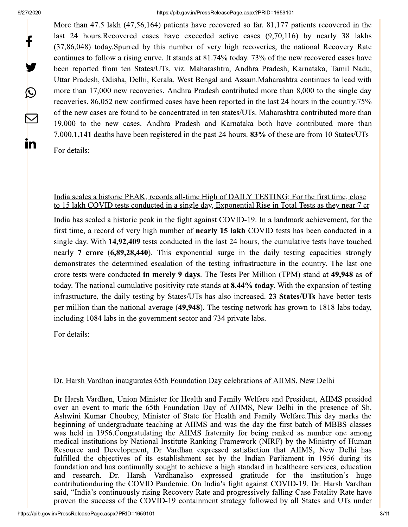$\bigcirc$ 

 $\color{red} \blacktriangleright$ 

in

https://pib.qov.in/PressReleasePage.aspx?PRID=1659101

More than 47.5 lakh  $(47,56,164)$  patients have recovered so far. 81,177 patients recovered in the last 24 hours. Recovered cases have exceeded active cases (9,70,116) by nearly 38 lakhs (37,86,048) today. Spurred by this number of very high recoveries, the national Recovery Rate continues to follow a rising curve. It stands at 81.74% today. 73% of the new recovered cases have been reported from ten States/UTs, viz. Maharashtra, Andhra Pradesh, Karnataka, Tamil Nadu, Uttar Pradesh, Odisha, Delhi, Kerala, West Bengal and Assam. Maharashtra continues to lead with more than 17,000 new recoveries. Andhra Pradesh contributed more than 8,000 to the single day recoveries. 86,052 new confirmed cases have been reported in the last 24 hours in the country.75% of the new cases are found to be concentrated in ten states/UTs. Maharashtra contributed more than 19,000 to the new cases. Andhra Pradesh and Karnataka both have contributed more than 7,000.1,141 deaths have been registered in the past 24 hours. 83% of these are from 10 States/UTs

For details:

#### India scales a historic PEAK, records all-time High of DAILY TESTING: For the first time, close to 15 lakh COVID tests conducted in a single day, Exponential Rise in Total Tests as they near 7 cr

India has scaled a historic peak in the fight against COVID-19. In a landmark achievement, for the first time, a record of very high number of nearly 15 lakh COVID tests has been conducted in a single day. With 14,92,409 tests conducted in the last 24 hours, the cumulative tests have touched nearly 7 crore (6,89,28,440). This exponential surge in the daily testing capacities strongly demonstrates the determined escalation of the testing infrastructure in the country. The last one crore tests were conducted in merely 9 days. The Tests Per Million (TPM) stand at 49,948 as of today. The national cumulative positivity rate stands at 8.44% today. With the expansion of testing infrastructure, the daily testing by States/UTs has also increased. 23 States/UTs have better tests per million than the national average (49,948). The testing network has grown to 1818 labs today, including 1084 labs in the government sector and 734 private labs.

For details:

#### Dr. Harsh Vardhan inaugurates 65th Foundation Day celebrations of AIIMS, New Delhi

Dr Harsh Vardhan, Union Minister for Health and Family Welfare and President, AIIMS presided over an event to mark the 65th Foundation Day of AIIMS, New Delhi in the presence of Sh. Ashwini Kumar Choubey, Minister of State for Health and Family Welfare. This day marks the beginning of undergraduate teaching at AIIMS and was the day the first batch of MBBS classes was held in 1956. Congratulating the AIIMS fraternity for being ranked as number one among medical institutions by National Institute Ranking Framework (NIRF) by the Ministry of Human Resource and Development, Dr Vardhan expressed satisfaction that AIIMS, New Delhi has fulfilled the objectives of its establishment set by the Indian Parliament in 1956 during its foundation and has continually sought to achieve a high standard in healthcare services, education and research. Dr. Harsh Vardhanalso expressed gratitude for the institution's huge contribution during the COVID Pandemic. On India's fight against COVID-19, Dr. Harsh Vardhan said, "India's continuously rising Recovery Rate and progressively falling Case Fatality Rate have proven the success of the COVID-19 containment strategy followed by all States and UTs under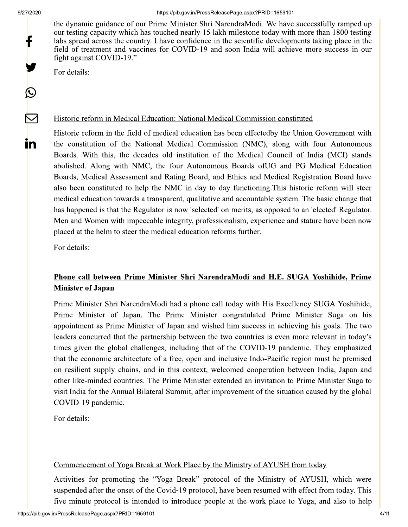f

 $\mathbf{C}$ 

 $\boldsymbol{\nabla}$ 

**in** 

https://pib.qov.in/PressReleasePage.aspx?PRID=1659101

the dynamic guidance of our Prime Minister Shri NarendraModi. We have successfully ramped up our testing capacity which has touched nearly 15 lakh milestone today with more than 1800 testing labs spread across the country. I have confidence in the scientific developments taking place in the field of treatment and vaccines for COVID-19 and soon India will achieve more success in our fight against COVID-19."

For details:

#### Historic reform in Medical Education: National Medical Commission constituted

Historic reform in the field of medical education has been effectedby the Union Government with the constitution of the National Medical Commission (NMC), along with four Autonomous Boards. With this, the decades old institution of the Medical Council of India (MCI) stands abolished. Along with NMC, the four Autonomous Boards of UG and PG Medical Education Boards, Medical Assessment and Rating Board, and Ethics and Medical Registration Board have also been constituted to help the NMC in day to day functioning. This historic reform will steer medical education towards a transparent, qualitative and accountable system. The basic change that has happened is that the Regulator is now 'selected' on merits, as opposed to an 'elected' Regulator. Men and Women with impeccable integrity, professionalism, experience and stature have been now placed at the helm to steer the medical education reforms further.

For details:

### Phone call between Prime Minister Shri NarendraModi and H.E. SUGA Yoshihide, Prime **Minister of Japan**

Prime Minister Shri NarendraModi had a phone call today with His Excellency SUGA Yoshihide, Prime Minister of Japan. The Prime Minister congratulated Prime Minister Suga on his appointment as Prime Minister of Japan and wished him success in achieving his goals. The two leaders concurred that the partnership between the two countries is even more relevant in today's times given the global challenges, including that of the COVID-19 pandemic. They emphasized that the economic architecture of a free, open and inclusive Indo-Pacific region must be premised on resilient supply chains, and in this context, welcomed cooperation between India, Japan and other like-minded countries. The Prime Minister extended an invitation to Prime Minister Suga to visit India for the Annual Bilateral Summit, after improvement of the situation caused by the global COVID-19 pandemic.

For details:

#### Commencement of Yoga Break at Work Place by the Ministry of AYUSH from today

Activities for promoting the "Yoga Break" protocol of the Ministry of AYUSH, which were suspended after the onset of the Covid-19 protocol, have been resumed with effect from today. This five minute protocol is intended to introduce people at the work place to Yoga, and also to help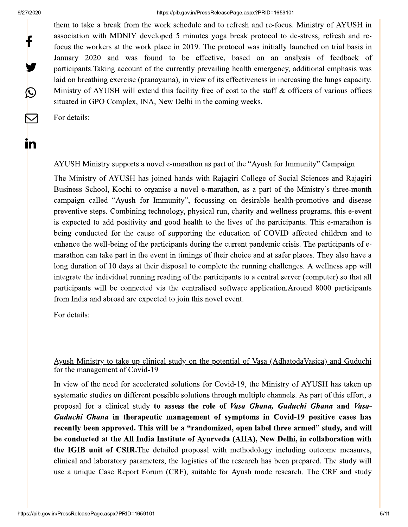f

 $\bigcirc$ 

 $\bm \nabla$ 

in

#### https://pib.qov.in/PressReleasePage.aspx?PRID=1659101

them to take a break from the work schedule and to refresh and re-focus. Ministry of AYUSH in association with MDNIY developed 5 minutes yoga break protocol to de-stress, refresh and refocus the workers at the work place in 2019. The protocol was initially launched on trial basis in January 2020 and was found to be effective, based on an analysis of feedback of participants. Taking account of the currently prevailing health emergency, additional emphasis was laid on breathing exercise (pranayama), in view of its effectiveness in increasing the lungs capacity. Ministry of AYUSH will extend this facility free of cost to the staff & officers of various offices situated in GPO Complex, INA, New Delhi in the coming weeks.

For details:

#### AYUSH Ministry supports a novel e-marathon as part of the "Ayush for Immunity" Campaign

The Ministry of AYUSH has joined hands with Rajagiri College of Social Sciences and Rajagiri Business School, Kochi to organise a novel e-marathon, as a part of the Ministry's three-month campaign called "Ayush for Immunity", focussing on desirable health-promotive and disease preventive steps. Combining technology, physical run, charity and wellness programs, this e-event is expected to add positivity and good health to the lives of the participants. This e-marathon is being conducted for the cause of supporting the education of COVID affected children and to enhance the well-being of the participants during the current pandemic crisis. The participants of emarathon can take part in the event in timings of their choice and at safer places. They also have a long duration of 10 days at their disposal to complete the running challenges. A wellness app will integrate the individual running reading of the participants to a central server (computer) so that all participants will be connected via the centralised software application. Around 8000 participants from India and abroad are expected to join this novel event.

For details:

#### Ayush Ministry to take up clinical study on the potential of Vasa (AdhatodaVasica) and Guduchi for the management of Covid-19

In view of the need for accelerated solutions for Covid-19, the Ministry of AYUSH has taken up systematic studies on different possible solutions through multiple channels. As part of this effort, a proposal for a clinical study to assess the role of Vasa Ghana, Guduchi Ghana and Vasa-Guduchi Ghana in therapeutic management of symptoms in Covid-19 positive cases has recently been approved. This will be a "randomized, open label three armed" study, and will be conducted at the All India Institute of Ayurveda (AIIA), New Delhi, in collaboration with the IGIB unit of CSIR. The detailed proposal with methodology including outcome measures, clinical and laboratory parameters, the logistics of the research has been prepared. The study will use a unique Case Report Forum (CRF), suitable for Ayush mode research. The CRF and study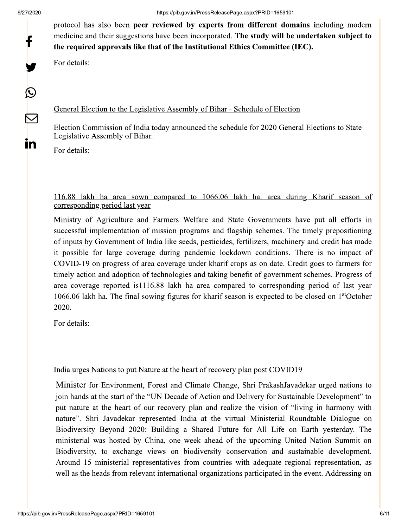$\bigcirc$ 

 $\color{red}\blacktriangleright$ 

<u>in</u>

protocol has also been peer reviewed by experts from different domains including modern medicine and their suggestions have been incorporated. The study will be undertaken subject to the required approvals like that of the Institutional Ethics Committee (IEC).

For details:

#### General Election to the Legislative Assembly of Bihar - Schedule of Election

Election Commission of India today announced the schedule for 2020 General Elections to State Legislative Assembly of Bihar.

For details:

#### 116.88 lakh ha area sown compared to 1066.06 lakh ha, area during Kharif season of corresponding period last year

Ministry of Agriculture and Farmers Welfare and State Governments have put all efforts in successful implementation of mission programs and flagship schemes. The timely prepositioning of inputs by Government of India like seeds, pesticides, fertilizers, machinery and credit has made it possible for large coverage during pandemic lockdown conditions. There is no impact of COVID-19 on progress of area coverage under kharif crops as on date. Credit goes to farmers for timely action and adoption of technologies and taking benefit of government schemes. Progress of area coverage reported is1116.88 lakh ha area compared to corresponding period of last year 1066.06 lakh ha. The final sowing figures for kharif season is expected to be closed on 1<sup>st</sup>October 2020.

For details:

#### India urges Nations to put Nature at the heart of recovery plan post COVID19

Minister for Environment, Forest and Climate Change, Shri Prakash Javadekar urged nations to join hands at the start of the "UN Decade of Action and Delivery for Sustainable Development" to put nature at the heart of our recovery plan and realize the vision of "living in harmony with nature". Shri Javadekar represented India at the virtual Ministerial Roundtable Dialogue on Biodiversity Beyond 2020: Building a Shared Future for All Life on Earth yesterday. The ministerial was hosted by China, one week ahead of the upcoming United Nation Summit on Biodiversity, to exchange views on biodiversity conservation and sustainable development. Around 15 ministerial representatives from countries with adequate regional representation, as well as the heads from relevant international organizations participated in the event. Addressing on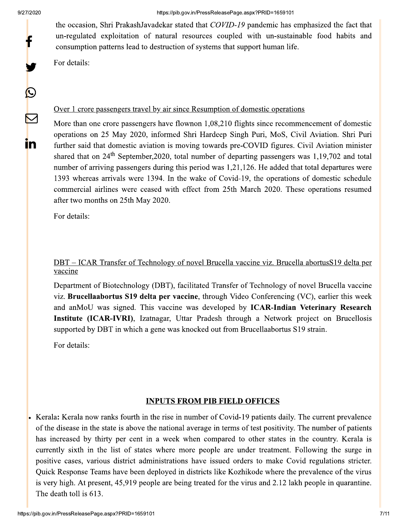$\bigcirc$ 

 $\sum$ 

in

the occasion, Shri PrakashJavadekar stated that *COVID-19* pandemic has emphasized the fact that un-regulated exploitation of natural resources coupled with un-sustainable food habits and consumption patterns lead to destruction of systems that support human life.

For details:

#### Over 1 crore passengers travel by air since Resumption of domestic operations

More than one crore passengers have flownon 1,08,210 flights since recommencement of domestic operations on 25 May 2020, informed Shri Hardeep Singh Puri, MoS, Civil Aviation. Shri Puri further said that domestic aviation is moving towards pre-COVID figures. Civil Aviation minister shared that on 24<sup>th</sup> September, 2020, total number of departing passengers was 1,19,702 and total number of arriving passengers during this period was 1,21,126. He added that total departures were 1393 whereas arrivals were 1394. In the wake of Covid-19, the operations of domestic schedule commercial airlines were ceased with effect from 25th March 2020. These operations resumed after two months on 25th May 2020.

For details:

#### DBT – ICAR Transfer of Technology of novel Brucella vaccine viz. Brucella abortusS19 delta per vaccine

Department of Biotechnology (DBT), facilitated Transfer of Technology of novel Brucella vaccine viz. Brucellaabortus S19 delta per vaccine, through Video Conferencing (VC), earlier this week and anMoU was signed. This vaccine was developed by ICAR-Indian Veterinary Research Institute (ICAR-IVRI), Izatnagar, Uttar Pradesh through a Network project on Brucellosis supported by DBT in which a gene was knocked out from Brucellaabortus S19 strain.

For details:

#### **INPUTS FROM PIB FIELD OFFICES**

Kerala: Kerala now ranks fourth in the rise in number of Covid-19 patients daily. The current prevalence of the disease in the state is above the national average in terms of test positivity. The number of patients has increased by thirty per cent in a week when compared to other states in the country. Kerala is currently sixth in the list of states where more people are under treatment. Following the surge in positive cases, various district administrations have issued orders to make Covid regulations stricter. Quick Response Teams have been deployed in districts like Kozhikode where the prevalence of the virus is very high. At present, 45,919 people are being treated for the virus and 2.12 lakh people in quarantine. The death toll is 613.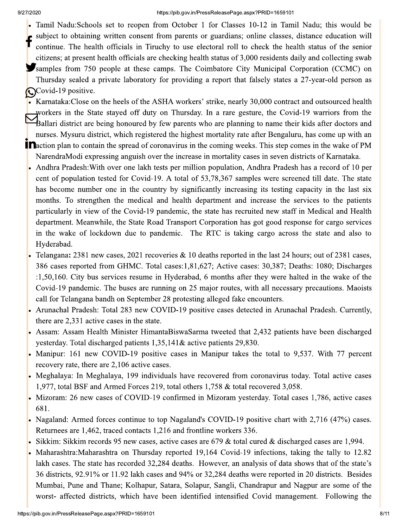- Tamil Nadu: Schools set to reopen from October 1 for Classes 10-12 in Tamil Nadu; this would be
- subject to obtaining written consent from parents or guardians; online classes, distance education will continue. The health officials in Tiruchy to use electoral roll to check the health status of the senior citizens; at present health officials are checking health status of 3,000 residents daily and collecting swab **Samples from 750 people at these camps. The Coimbatore City Municipal Corporation (CCMC) on** Thursday sealed a private laboratory for providing a report that falsely states a 27-year-old person as
- Covid-19 positive.
- Karnataka: Close on the heels of the ASHA workers' strike, nearly 30,000 contract and outsourced health workers in the State stayed off duty on Thursday. In a rare gesture, the Covid-19 warriors from the Ballari district are being honoured by few parents who are planning to name their kids after doctors and nurses. Mysuru district, which registered the highest mortality rate after Bengaluru, has come up with an **In** action plan to contain the spread of coronavirus in the coming weeks. This step comes in the wake of PM NarendraModi expressing anguish over the increase in mortality cases in seven districts of Karnataka.
	- Andhra Pradesh: With over one lakh tests per million population, Andhra Pradesh has a record of 10 per cent of population tested for Covid-19. A total of 53,78,367 samples were screened till date. The state has become number one in the country by significantly increasing its testing capacity in the last six months. To strengthen the medical and health department and increase the services to the patients particularly in view of the Covid-19 pandemic, the state has recruited new staff in Medical and Health department. Meanwhile, the State Road Transport Corporation has got good response for cargo services in the wake of lockdown due to pandemic. The RTC is taking cargo across the state and also to Hyderabad.
	- Telangana: 2381 new cases, 2021 recoveries & 10 deaths reported in the last 24 hours; out of 2381 cases, 386 cases reported from GHMC. Total cases:1,81,627; Active cases: 30,387; Deaths: 1080; Discharges :1,50,160. City bus services resume in Hyderabad, 6 months after they were halted in the wake of the Covid-19 pandemic. The buses are running on 25 major routes, with all necessary precautions. Maoists call for Telangana bandh on September 28 protesting alleged fake encounters.
	- Arunachal Pradesh: Total 283 new COVID-19 positive cases detected in Arunachal Pradesh. Currently, there are 2,331 active cases in the state.
	- Assam: Assam Health Minister HimantaBiswaSarma tweeted that 2,432 patients have been discharged yesterday. Total discharged patients  $1,35,141\&$  active patients 29,830.
- Manipur: 161 new COVID-19 positive cases in Manipur takes the total to 9,537. With 77 percent recovery rate, there are 2,106 active cases.
- Meghalaya: In Meghalaya, 199 individuals have recovered from coronavirus today. Total active cases 1,977, total BSF and Armed Forces 219, total others 1,758 & total recovered 3,058.
- Mizoram: 26 new cases of COVID-19 confirmed in Mizoram yesterday. Total cases 1,786, active cases 681.
- Nagaland: Armed forces continue to top Nagaland's COVID-19 positive chart with  $2,716$  (47%) cases. Returnees are 1,462, traced contacts 1,216 and frontline workers 336.
- Sikkim: Sikkim records 95 new cases, active cases are 679 & total cured & discharged cases are 1,994.
- Maharashtra: Maharashtra on Thursday reported 19,164 Covid-19 infections, taking the tally to 12.82 lakh cases. The state has recorded 32,284 deaths. However, an analysis of data shows that of the state's 36 districts, 92.91% or 11.92 lakh cases and 94% or 32,284 deaths were reported in 20 districts. Besides Mumbai, Pune and Thane; Kolhapur, Satara, Solapur, Sangli, Chandrapur and Nagpur are some of the worst- affected districts, which have been identified intensified Covid management. Following the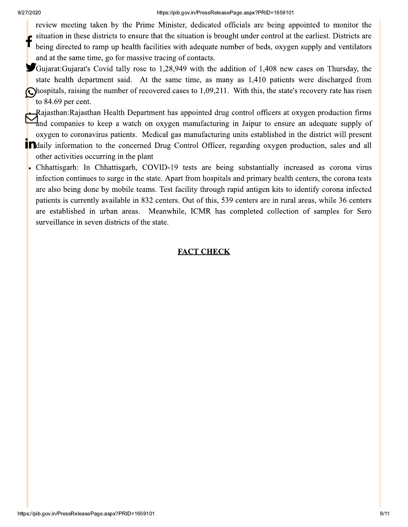review meeting taken by the Prime Minister, dedicated officials are being appointed to monitor the

- situation in these districts to ensure that the situation is brought under control at the earliest. Districts are being directed to ramp up health facilities with adequate number of beds, oxygen supply and ventilators and at the same time, go for massive tracing of contacts.
- Gujarat:Gujarat's Covid tally rose to 1,28,949 with the addition of 1,408 new cases on Thursday, the state health department said. At the same time, as many as 1,410 patients were discharged from  $\bigcirc$  hospitals, raising the number of recovered cases to 1,09,211. With this, the state's recovery rate has risen to 84.69 per cent.
- Rajasthan: Rajasthan Health Department has appointed drug control officers at oxygen production firms and companies to keep a watch on oxygen manufacturing in Jaipur to ensure an adequate supply of oxygen to coronavirus patients. Medical gas manufacturing units established in the district will present **In**daily information to the concerned Drug Control Officer, regarding oxygen production, sales and all other activities occurring in the plant
	- Chhattisgarh: In Chhattisgarh, COVID-19 tests are being substantially increased as corona virus infection continues to surge in the state. Apart from hospitals and primary health centers, the corona tests are also being done by mobile teams. Test facility through rapid antigen kits to identify corona infected patients is currently available in 832 centers. Out of this, 539 centers are in rural areas, while 36 centers are established in urban areas. Meanwhile, ICMR has completed collection of samples for Sero surveillance in seven districts of the state.

#### **FACT CHECK**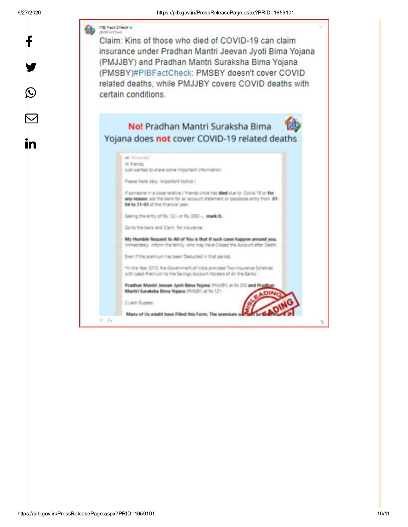In